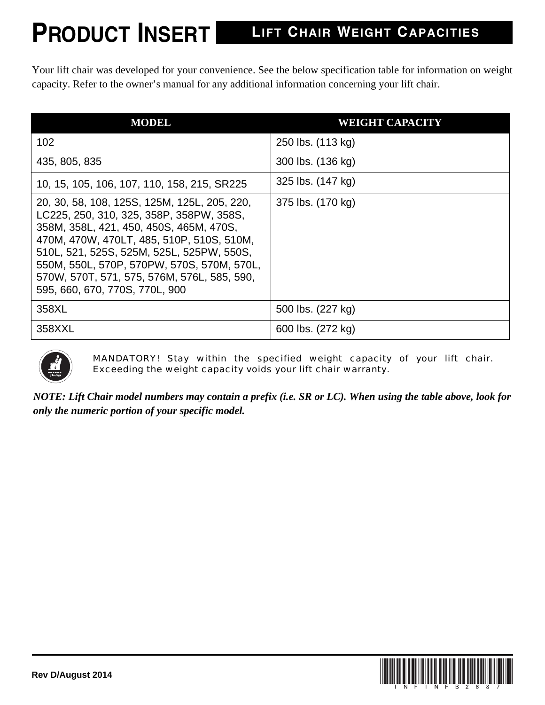## **PRODUCT INSERT**

## **LIFT CHAIR WEIGHT CAPACITIES**

Your lift chair was developed for your convenience. See the below specification table for information on weight capacity. Refer to the owner's manual for any additional information concerning your lift chair.

| <b>MODEL</b>                                                                                                                                                                                                                                                                                                                                                 | <b>WEIGHT CAPACITY</b> |
|--------------------------------------------------------------------------------------------------------------------------------------------------------------------------------------------------------------------------------------------------------------------------------------------------------------------------------------------------------------|------------------------|
| 102                                                                                                                                                                                                                                                                                                                                                          | 250 lbs. (113 kg)      |
| 435, 805, 835                                                                                                                                                                                                                                                                                                                                                | 300 lbs. (136 kg)      |
| 10, 15, 105, 106, 107, 110, 158, 215, SR225                                                                                                                                                                                                                                                                                                                  | 325 lbs. (147 kg)      |
| 20, 30, 58, 108, 125S, 125M, 125L, 205, 220,<br>LC225, 250, 310, 325, 358P, 358PW, 358S,<br>358M, 358L, 421, 450, 450S, 465M, 470S,<br>470M, 470W, 470LT, 485, 510P, 510S, 510M,<br>510L, 521, 525S, 525M, 525L, 525PW, 550S,<br>550M, 550L, 570P, 570PW, 570S, 570M, 570L,<br>570W, 570T, 571, 575, 576M, 576L, 585, 590,<br>595, 660, 670, 770S, 770L, 900 | 375 lbs. (170 kg)      |
| 358XL                                                                                                                                                                                                                                                                                                                                                        | 500 lbs. (227 kg)      |
| 358XXL                                                                                                                                                                                                                                                                                                                                                       | 600 lbs. (272 kg)      |



MANDATORY! Stay within the specified weight capacity of your lift chair. Exceeding the weight capacity voids your lift chair warranty.

*NOTE: Lift Chair model numbers may contain a prefix (i.e. SR or LC). When using the table above, look for only the numeric portion of your specific model.*